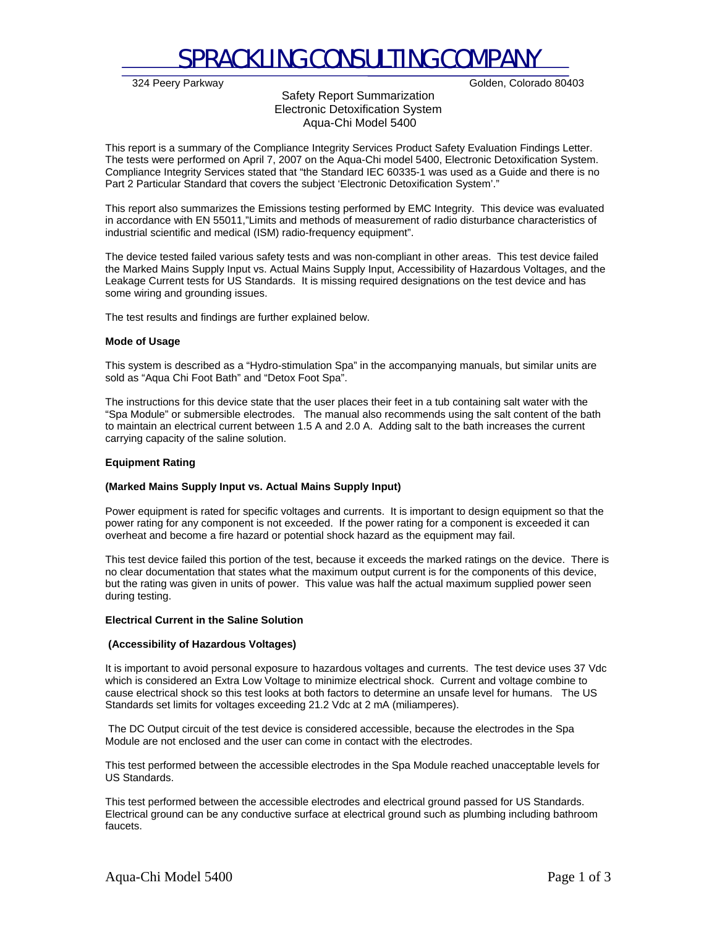

324 Peery Parkway Golden, Colorado 80403

## Safety Report Summarization Electronic Detoxification System Aqua-Chi Model 5400

This report is a summary of the Compliance Integrity Services Product Safety Evaluation Findings Letter. The tests were performed on April 7, 2007 on the Aqua-Chi model 5400, Electronic Detoxification System. Compliance Integrity Services stated that "the Standard IEC 60335-1 was used as a Guide and there is no Part 2 Particular Standard that covers the subject 'Electronic Detoxification System'."

This report also summarizes the Emissions testing performed by EMC Integrity. This device was evaluated in accordance with EN 55011,"Limits and methods of measurement of radio disturbance characteristics of industrial scientific and medical (ISM) radio-frequency equipment".

The device tested failed various safety tests and was non-compliant in other areas. This test device failed the Marked Mains Supply Input vs. Actual Mains Supply Input, Accessibility of Hazardous Voltages, and the Leakage Current tests for US Standards. It is missing required designations on the test device and has some wiring and grounding issues.

The test results and findings are further explained below.

## **Mode of Usage**

This system is described as a "Hydro-stimulation Spa" in the accompanying manuals, but similar units are sold as "Aqua Chi Foot Bath" and "Detox Foot Spa".

The instructions for this device state that the user places their feet in a tub containing salt water with the "Spa Module" or submersible electrodes. The manual also recommends using the salt content of the bath to maintain an electrical current between 1.5 A and 2.0 A. Adding salt to the bath increases the current carrying capacity of the saline solution.

### **Equipment Rating**

## **(Marked Mains Supply Input vs. Actual Mains Supply Input)**

Power equipment is rated for specific voltages and currents. It is important to design equipment so that the power rating for any component is not exceeded. If the power rating for a component is exceeded it can overheat and become a fire hazard or potential shock hazard as the equipment may fail.

This test device failed this portion of the test, because it exceeds the marked ratings on the device. There is no clear documentation that states what the maximum output current is for the components of this device, but the rating was given in units of power. This value was half the actual maximum supplied power seen during testing.

#### **Electrical Current in the Saline Solution**

## **(Accessibility of Hazardous Voltages)**

It is important to avoid personal exposure to hazardous voltages and currents. The test device uses 37 Vdc which is considered an Extra Low Voltage to minimize electrical shock. Current and voltage combine to cause electrical shock so this test looks at both factors to determine an unsafe level for humans. The US Standards set limits for voltages exceeding 21.2 Vdc at 2 mA (miliamperes).

 The DC Output circuit of the test device is considered accessible, because the electrodes in the Spa Module are not enclosed and the user can come in contact with the electrodes.

This test performed between the accessible electrodes in the Spa Module reached unacceptable levels for US Standards.

This test performed between the accessible electrodes and electrical ground passed for US Standards. Electrical ground can be any conductive surface at electrical ground such as plumbing including bathroom faucets.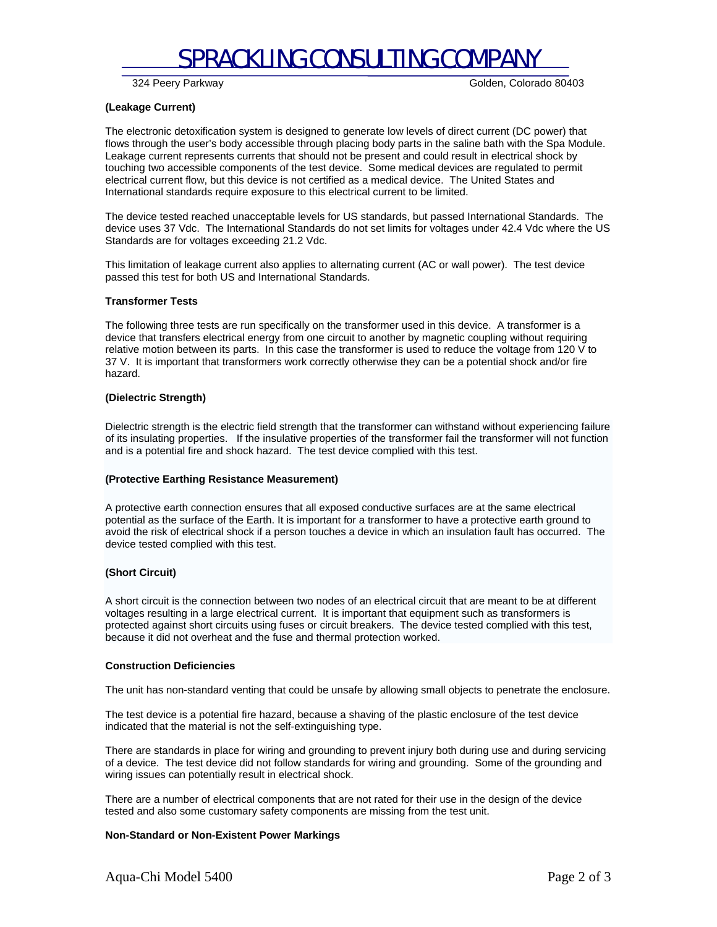## SPRACKLING CONSULTING COMPANY

324 Peery Parkway Golden, Colorado 80403

### **(Leakage Current)**

The electronic detoxification system is designed to generate low levels of direct current (DC power) that flows through the user's body accessible through placing body parts in the saline bath with the Spa Module. Leakage current represents currents that should not be present and could result in electrical shock by touching two accessible components of the test device. Some medical devices are regulated to permit electrical current flow, but this device is not certified as a medical device. The United States and International standards require exposure to this electrical current to be limited.

The device tested reached unacceptable levels for US standards, but passed International Standards. The device uses 37 Vdc. The International Standards do not set limits for voltages under 42.4 Vdc where the US Standards are for voltages exceeding 21.2 Vdc.

This limitation of leakage current also applies to alternating current (AC or wall power). The test device passed this test for both US and International Standards.

#### **Transformer Tests**

The following three tests are run specifically on the transformer used in this device. A transformer is a device that transfers electrical energy from one circuit to another by magnetic coupling without requiring relative motion between its parts. In this case the transformer is used to reduce the voltage from 120 V to 37 V. It is important that transformers work correctly otherwise they can be a potential shock and/or fire hazard.

#### **(Dielectric Strength)**

Dielectric strength is the electric field strength that the transformer can withstand without experiencing failure of its insulating properties. If the insulative properties of the transformer fail the transformer will not function and is a potential fire and shock hazard. The test device complied with this test.

## **(Protective Earthing Resistance Measurement)**

A protective earth connection ensures that all exposed conductive surfaces are at the same electrical potential as the surface of the Earth. It is important for a transformer to have a protective earth ground to avoid the risk of electrical shock if a person touches a device in which an insulation fault has occurred. The device tested complied with this test.

## **(Short Circuit)**

A short circuit is the connection between two nodes of an electrical circuit that are meant to be at different voltages resulting in a large electrical current. It is important that equipment such as transformers is protected against short circuits using fuses or circuit breakers. The device tested complied with this test, because it did not overheat and the fuse and thermal protection worked.

#### **Construction Deficiencies**

The unit has non-standard venting that could be unsafe by allowing small objects to penetrate the enclosure.

The test device is a potential fire hazard, because a shaving of the plastic enclosure of the test device indicated that the material is not the self-extinguishing type.

There are standards in place for wiring and grounding to prevent injury both during use and during servicing of a device. The test device did not follow standards for wiring and grounding. Some of the grounding and wiring issues can potentially result in electrical shock.

There are a number of electrical components that are not rated for their use in the design of the device tested and also some customary safety components are missing from the test unit.

#### **Non-Standard or Non-Existent Power Markings**